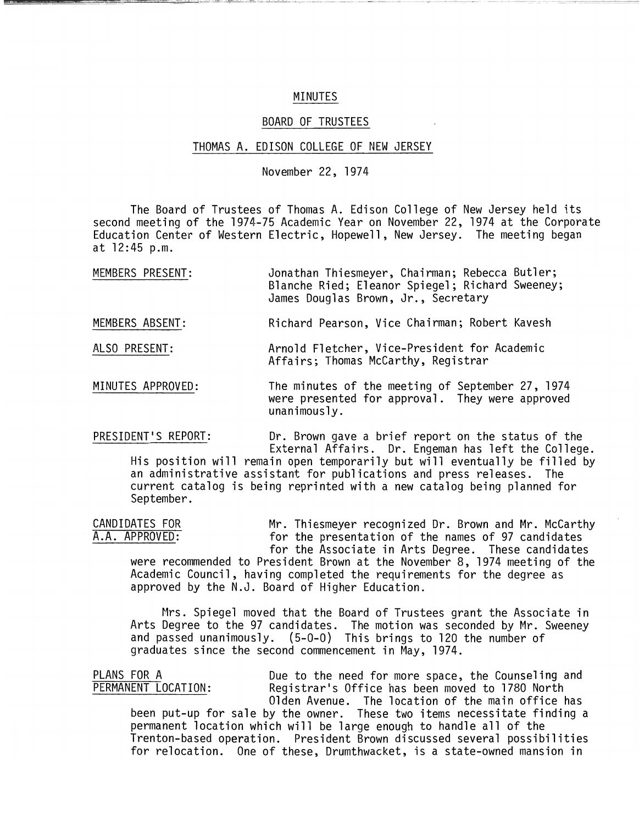## MINUTES

 $\cdots$ 

## BOARD OF TRUSTEES

## THOMAS A. EDISON COLLEGE OF NEW JERSEY

## November 22, 1974

The Board of Trustees of Thomas A. Edison College of New Jersey held its second meeting of the 1974-75 Academic Year on November 22, 1974 at the Corporate Education Center of Western Electric, Hopewell, New Jersey. The meeting began at 12:45 p.m.

| MEMBERS PRESENT: | Jonathan Thiesmeyer, Chairman; Rebecca Butler;  |  |
|------------------|-------------------------------------------------|--|
|                  | Blanche Ried; Eleanor Spiegel; Richard Sweeney; |  |
|                  | James Douglas Brown, Jr., Secretary             |  |

MEMBERS ABSENT: Richard Pearson, Vice Chairman; Robert Kavesh

ALSO PRESENT: Arnold Fletcher, Vice-President for Academic Affairs; Thomas McCarthy, Registrar

MINUTES APPROVED: The minutes of the meeting of September 27, 1974 were presented for approval. They were approved unanimously.

PRESIDENT'S REPORT: Dr. Brown gave a brief report on the status of the External Affairs. Dr. Engeman has left the College. His position will remain open temporarily but will eventually be filled by

an administrative assistant for publications and press releases. The current catalog is being reprinted with a new catalog being planned for September.

CANDIDATES FOR Thiesmeyer recognized Dr. Brown and Mr. McCarthy<br>A.A. APPROVED: The presentation of the names of 97 candidates for the presentation of the names of 97 candidates for the Associate in Arts Degree. These candidates

were recommended to President Brown at the November 8, 1974 meeting of the Academic Council, having completed the requirements for the degree as approved by the N.J. Board of Higher Education.

Mrs. Spiegel moved that the Board of Trustees grant the Associate in Arts Degree to the 97 candidates. The motion was seconded by Mr. Sweeney and passed unanimously. (5-0-0) This brings to 120 the number of graduates since the second commencement in May, 1974.

PLANS FOR A Due to the need for more space, the Counseling and<br>PERMANENT LOCATION: Registrar's Office has been moved to 1780 North Registrar's Office has been moved to 1780 North Olden Avenue. The location of the main office has

been put-up for sale by the owner. These two items necessitate finding a permanent location which will be large enough to handle all of the Trenton-based operation. President Brown discussed several possibilities for relocation. One of these, Drumthwacket, is a state-owned mansion in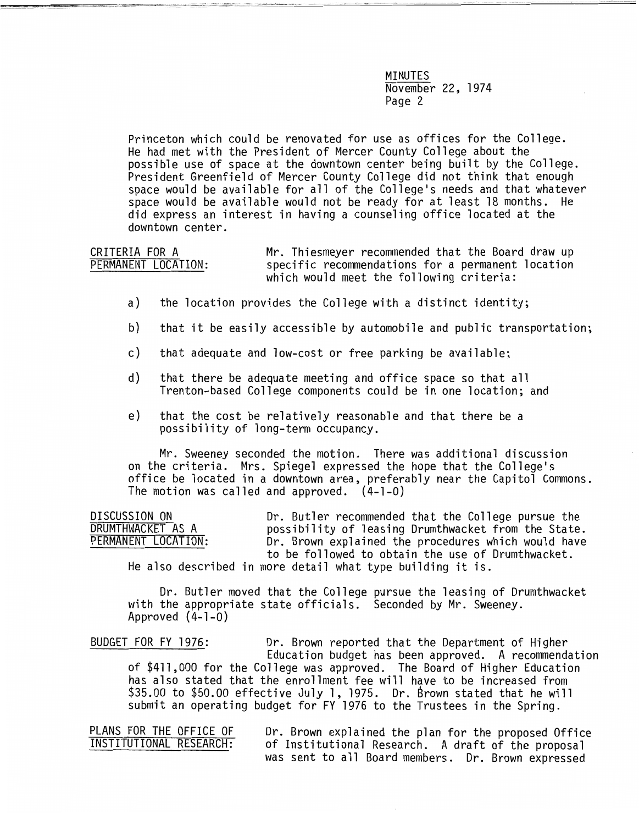MINUTES November 22, 1974 Page 2

Princeton which could be renovated for use as offices for the College. He had met with the President of Mercer County College about the possible use of space at the downtown center being built by the College. President Greenfield of Mercer County College did not think that enough space would be available for all of the College's needs and that whatever space would be available would not be ready for at least 18 months. He did express an interest in having a counseling office located at the downtown center.

CRITERIA FOR A PERMANENT LOCATION: Mr. Thiesmeyer recommended that the Board draw up specific recommendations for a permanent location which would meet the following criteria:

- a) the location provides the College with a distinct identity;
- b) that it be easily accessible by automobile and public transportation;
- c) that adequate and low-cost or free parking be available;
- d) that there be adequate meeting and office space so that all Trenton-based College components could be in one location; and
- e) that the cost be relatively reasonable and that there be a possibility of long-term occupancy.

Mr. Sweeney seconded the motion. There was additional discussion on the criteria. Mrs. Spiegel expressed the hope that the College's office be located in a downtown area, preferably near the Capitol Commons. The motion was called and approved. (4-1-0)

| DISCUSSION ON       | Dr. Butler recommended that the College pursue the  |
|---------------------|-----------------------------------------------------|
| DRUMTHWACKET AS A   | possibility of leasing Drumthwacket from the State. |
| PERMANENT LOCATION: | Dr. Brown explained the procedures which would have |
|                     | to be followed to obtain the use of Drumthwacket.   |
| .                   |                                                     |

He also described in more detail what type building it is.

Dr. Butler moved that the College pursue the leasing of Drumthwacket with the appropriate state officials. Seconded by Mr. Sweeney.<br>Approved (4-1-0)

BUDGET FOR FY 1976: Dr. Brown reported that the Department of Higher Education budget has been approved. A recommendation of \$411,000 for the College was approved. The Board of Higher Education has also stated that the enrollment fee will have to be increased from \$35.00 to \$50.00 effective July 1, 1975. Dr. Brown stated that he will submit an operating budget for FY 1976 to the Trustees in the Spring.

PLANS FOR THE OFFICE OF Dr. Brown explained the plan for the proposed Office<br>INSTITUTIONAL RESEARCH: of Institutional Research. A draft of the proposal of Institutional Research. A draft of the proposal was sent to all Board members. Dr. Brown expressed